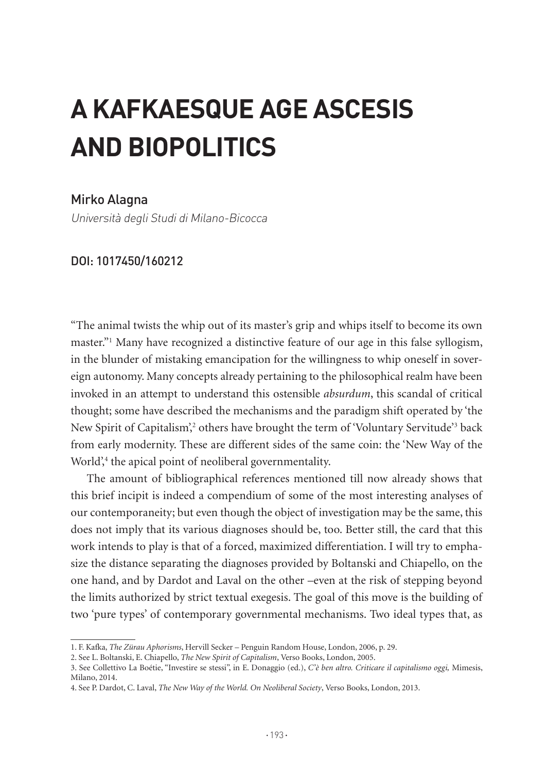# **A KAFKAESQUE AGE ASCESIS AND BIOPOLITICS**

#### Mirko Alagna

Università degli Studi di Milano-Bicocca

#### DOI: 1017450/160212

"The animal twists the whip out of its master's grip and whips itself to become its own master."1 Many have recognized a distinctive feature of our age in this false syllogism, in the blunder of mistaking emancipation for the willingness to whip oneself in sovereign autonomy. Many concepts already pertaining to the philosophical realm have been invoked in an attempt to understand this ostensible *absurdum*, this scandal of critical thought; some have described the mechanisms and the paradigm shift operated by 'the New Spirit of Capitalism',<sup>2</sup> others have brought the term of 'Voluntary Servitude'<sup>3</sup> back from early modernity. These are different sides of the same coin: the 'New Way of the World',<sup>4</sup> the apical point of neoliberal governmentality.

The amount of bibliographical references mentioned till now already shows that this brief incipit is indeed a compendium of some of the most interesting analyses of our contemporaneity; but even though the object of investigation may be the same, this does not imply that its various diagnoses should be, too. Better still, the card that this work intends to play is that of a forced, maximized differentiation. I will try to emphasize the distance separating the diagnoses provided by Boltanski and Chiapello, on the one hand, and by Dardot and Laval on the other –even at the risk of stepping beyond the limits authorized by strict textual exegesis. The goal of this move is the building of two 'pure types' of contemporary governmental mechanisms. Two ideal types that, as

<sup>1.</sup> F. Kafka, *The Zürau Aphorisms*, Hervill Secker – Penguin Random House, London, 2006, p. 29.

<sup>2.</sup> See L. Boltanski, E. Chiapello, *The New Spirit of Capitalism*, Verso Books, London, 2005.

<sup>3.</sup> See Collettivo La Boétie, "Investire se stessi", in E. Donaggio (ed.), *C'è ben altro. Criticare il capitalismo oggi,* Mimesis, Milano, 2014.

<sup>4.</sup> See P. Dardot, C. Laval, *The New Way of the World. On Neoliberal Society*, Verso Books, London, 2013.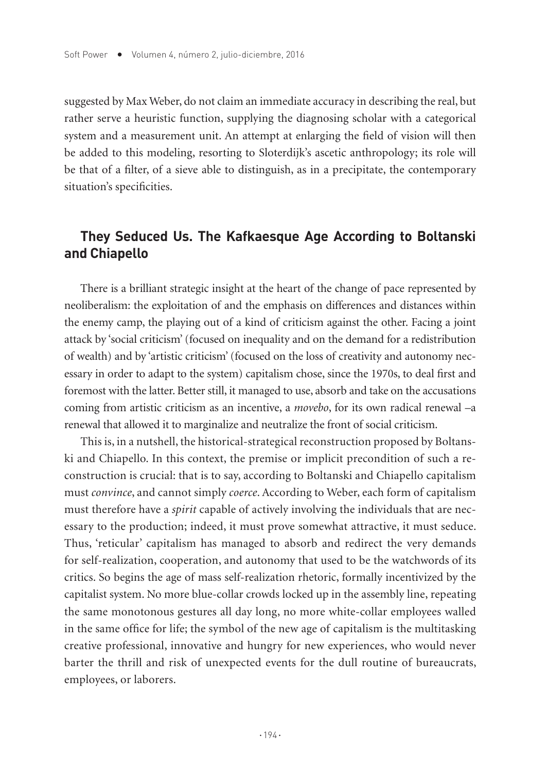suggested by Max Weber, do not claim an immediate accuracy in describing the real, but rather serve a heuristic function, supplying the diagnosing scholar with a categorical system and a measurement unit. An attempt at enlarging the field of vision will then be added to this modeling, resorting to Sloterdijk's ascetic anthropology; its role will be that of a filter, of a sieve able to distinguish, as in a precipitate, the contemporary situation's specificities.

## **They Seduced Us. The Kafkaesque Age According to Boltanski and Chiapello**

There is a brilliant strategic insight at the heart of the change of pace represented by neoliberalism: the exploitation of and the emphasis on differences and distances within the enemy camp, the playing out of a kind of criticism against the other. Facing a joint attack by 'social criticism' (focused on inequality and on the demand for a redistribution of wealth) and by 'artistic criticism' (focused on the loss of creativity and autonomy necessary in order to adapt to the system) capitalism chose, since the 1970s, to deal first and foremost with the latter. Better still, it managed to use, absorb and take on the accusations coming from artistic criticism as an incentive, a *movebo*, for its own radical renewal –a renewal that allowed it to marginalize and neutralize the front of social criticism.

This is, in a nutshell, the historical-strategical reconstruction proposed by Boltanski and Chiapello. In this context, the premise or implicit precondition of such a reconstruction is crucial: that is to say, according to Boltanski and Chiapello capitalism must *convince*, and cannot simply *coerce*. According to Weber, each form of capitalism must therefore have a *spirit* capable of actively involving the individuals that are necessary to the production; indeed, it must prove somewhat attractive, it must seduce. Thus, 'reticular' capitalism has managed to absorb and redirect the very demands for self-realization, cooperation, and autonomy that used to be the watchwords of its critics. So begins the age of mass self-realization rhetoric, formally incentivized by the capitalist system. No more blue-collar crowds locked up in the assembly line, repeating the same monotonous gestures all day long, no more white-collar employees walled in the same office for life; the symbol of the new age of capitalism is the multitasking creative professional, innovative and hungry for new experiences, who would never barter the thrill and risk of unexpected events for the dull routine of bureaucrats, employees, or laborers.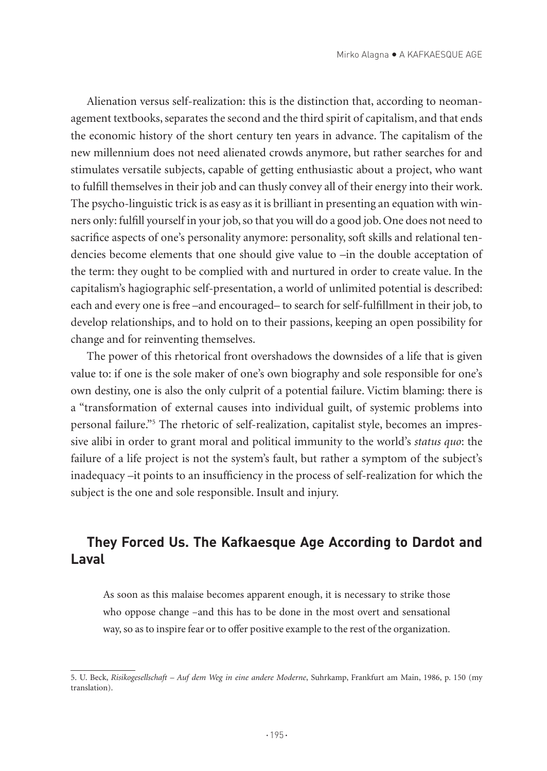Alienation versus self-realization: this is the distinction that, according to neomanagement textbooks, separates the second and the third spirit of capitalism, and that ends the economic history of the short century ten years in advance. The capitalism of the new millennium does not need alienated crowds anymore, but rather searches for and stimulates versatile subjects, capable of getting enthusiastic about a project, who want to fulfill themselves in their job and can thusly convey all of their energy into their work. The psycho-linguistic trick is as easy as it is brilliant in presenting an equation with winners only: fulfill yourself in your job, so that you will do a good job. One does not need to sacrifice aspects of one's personality anymore: personality, soft skills and relational tendencies become elements that one should give value to –in the double acceptation of the term: they ought to be complied with and nurtured in order to create value. In the capitalism's hagiographic self-presentation, a world of unlimited potential is described: each and every one is free –and encouraged– to search for self-fulfillment in their job, to develop relationships, and to hold on to their passions, keeping an open possibility for change and for reinventing themselves.

The power of this rhetorical front overshadows the downsides of a life that is given value to: if one is the sole maker of one's own biography and sole responsible for one's own destiny, one is also the only culprit of a potential failure. Victim blaming: there is a "transformation of external causes into individual guilt, of systemic problems into personal failure."5 The rhetoric of self-realization, capitalist style, becomes an impressive alibi in order to grant moral and political immunity to the world's *status quo*: the failure of a life project is not the system's fault, but rather a symptom of the subject's inadequacy –it points to an insufficiency in the process of self-realization for which the subject is the one and sole responsible. Insult and injury.

## **They Forced Us. The Kafkaesque Age According to Dardot and Laval**

As soon as this malaise becomes apparent enough, it is necessary to strike those who oppose change –and this has to be done in the most overt and sensational way, so as to inspire fear or to offer positive example to the rest of the organization.

<sup>5.</sup> U. Beck, *Risikogesellschaft – Auf dem Weg in eine andere Moderne*, Suhrkamp, Frankfurt am Main, 1986, p. 150 (my translation).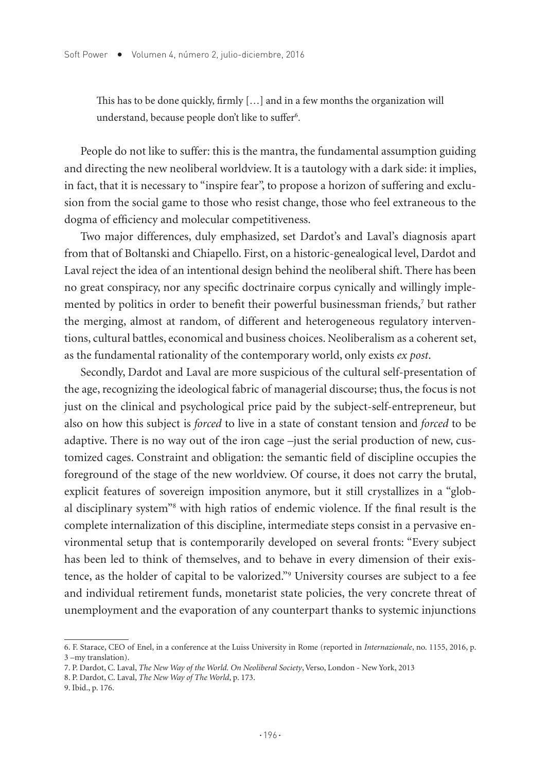This has to be done quickly, firmly […] and in a few months the organization will understand, because people don't like to suffer<sup>6</sup>.

People do not like to suffer: this is the mantra, the fundamental assumption guiding and directing the new neoliberal worldview. It is a tautology with a dark side: it implies, in fact, that it is necessary to "inspire fear", to propose a horizon of suffering and exclusion from the social game to those who resist change, those who feel extraneous to the dogma of efficiency and molecular competitiveness.

Two major differences, duly emphasized, set Dardot's and Laval's diagnosis apart from that of Boltanski and Chiapello. First, on a historic-genealogical level, Dardot and Laval reject the idea of an intentional design behind the neoliberal shift. There has been no great conspiracy, nor any specific doctrinaire corpus cynically and willingly implemented by politics in order to benefit their powerful businessman friends,<sup>7</sup> but rather the merging, almost at random, of different and heterogeneous regulatory interventions, cultural battles, economical and business choices. Neoliberalism as a coherent set, as the fundamental rationality of the contemporary world, only exists *ex post*.

Secondly, Dardot and Laval are more suspicious of the cultural self-presentation of the age, recognizing the ideological fabric of managerial discourse; thus, the focus is not just on the clinical and psychological price paid by the subject-self-entrepreneur, but also on how this subject is *forced* to live in a state of constant tension and *forced* to be adaptive. There is no way out of the iron cage –just the serial production of new, customized cages. Constraint and obligation: the semantic field of discipline occupies the foreground of the stage of the new worldview. Of course, it does not carry the brutal, explicit features of sovereign imposition anymore, but it still crystallizes in a "global disciplinary system<sup>38</sup> with high ratios of endemic violence. If the final result is the complete internalization of this discipline, intermediate steps consist in a pervasive environmental setup that is contemporarily developed on several fronts: "Every subject has been led to think of themselves, and to behave in every dimension of their existence, as the holder of capital to be valorized."9 University courses are subject to a fee and individual retirement funds, monetarist state policies, the very concrete threat of unemployment and the evaporation of any counterpart thanks to systemic injunctions

<sup>6.</sup> F. Starace, CEO of Enel, in a conference at the Luiss University in Rome (reported in *Internazionale*, no. 1155, 2016, p. 3 –my translation).

<sup>7.</sup> P. Dardot, C. Laval, *The New Way of the World. On Neoliberal Society*, Verso, London - New York, 2013

<sup>8.</sup> P. Dardot, C. Laval, *The New Way of The World*, p. 173.

<sup>9.</sup> Ibid., p. 176.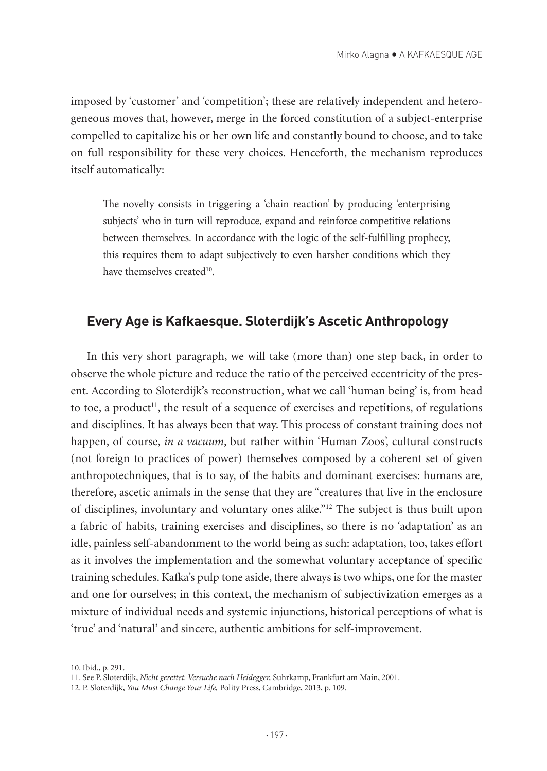imposed by 'customer' and 'competition'; these are relatively independent and heterogeneous moves that, however, merge in the forced constitution of a subject-enterprise compelled to capitalize his or her own life and constantly bound to choose, and to take on full responsibility for these very choices. Henceforth, the mechanism reproduces itself automatically:

The novelty consists in triggering a 'chain reaction' by producing 'enterprising subjects' who in turn will reproduce, expand and reinforce competitive relations between themselves. In accordance with the logic of the self-fulfilling prophecy, this requires them to adapt subjectively to even harsher conditions which they have themselves created<sup>10</sup>.

#### **Every Age is Kafkaesque. Sloterdijk's Ascetic Anthropology**

In this very short paragraph, we will take (more than) one step back, in order to observe the whole picture and reduce the ratio of the perceived eccentricity of the present. According to Sloterdijk's reconstruction, what we call 'human being' is, from head to toe, a product<sup>11</sup>, the result of a sequence of exercises and repetitions, of regulations and disciplines. It has always been that way. This process of constant training does not happen, of course, *in a vacuum*, but rather within 'Human Zoos', cultural constructs (not foreign to practices of power) themselves composed by a coherent set of given anthropotechniques, that is to say, of the habits and dominant exercises: humans are, therefore, ascetic animals in the sense that they are "creatures that live in the enclosure of disciplines, involuntary and voluntary ones alike."12 The subject is thus built upon a fabric of habits, training exercises and disciplines, so there is no 'adaptation' as an idle, painless self-abandonment to the world being as such: adaptation, too, takes effort as it involves the implementation and the somewhat voluntary acceptance of specific training schedules. Kafka's pulp tone aside, there always is two whips, one for the master and one for ourselves; in this context, the mechanism of subjectivization emerges as a mixture of individual needs and systemic injunctions, historical perceptions of what is 'true' and 'natural' and sincere, authentic ambitions for self-improvement.

<sup>10.</sup> Ibid., p. 291.

<sup>11.</sup> See P. Sloterdijk, *Nicht gerettet. Versuche nach Heidegger,* Suhrkamp, Frankfurt am Main, 2001.

<sup>12.</sup> P. Sloterdijk, *You Must Change Your Life,* Polity Press, Cambridge, 2013, p. 109.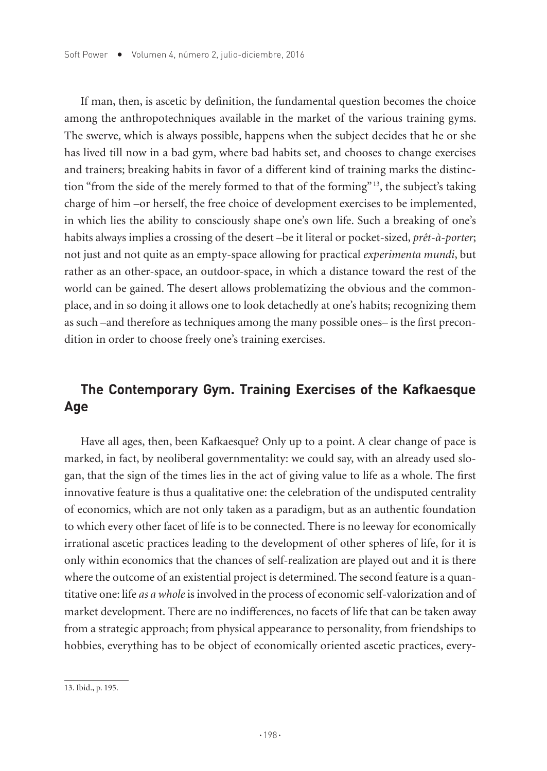If man, then, is ascetic by definition, the fundamental question becomes the choice among the anthropotechniques available in the market of the various training gyms. The swerve, which is always possible, happens when the subject decides that he or she has lived till now in a bad gym, where bad habits set, and chooses to change exercises and trainers; breaking habits in favor of a different kind of training marks the distinction "from the side of the merely formed to that of the forming" 13, the subject's taking charge of him –or herself, the free choice of development exercises to be implemented, in which lies the ability to consciously shape one's own life. Such a breaking of one's habits always implies a crossing of the desert –be it literal or pocket-sized, *prêt-à-porter*; not just and not quite as an empty-space allowing for practical *experimenta mundi*, but rather as an other-space, an outdoor-space, in which a distance toward the rest of the world can be gained. The desert allows problematizing the obvious and the commonplace, and in so doing it allows one to look detachedly at one's habits; recognizing them as such –and therefore as techniques among the many possible ones– is the first precondition in order to choose freely one's training exercises.

## **The Contemporary Gym. Training Exercises of the Kafkaesque Age**

Have all ages, then, been Kafkaesque? Only up to a point. A clear change of pace is marked, in fact, by neoliberal governmentality: we could say, with an already used slogan, that the sign of the times lies in the act of giving value to life as a whole. The first innovative feature is thus a qualitative one: the celebration of the undisputed centrality of economics, which are not only taken as a paradigm, but as an authentic foundation to which every other facet of life is to be connected. There is no leeway for economically irrational ascetic practices leading to the development of other spheres of life, for it is only within economics that the chances of self-realization are played out and it is there where the outcome of an existential project is determined. The second feature is a quantitative one: life *as a whole* is involved in the process of economic self-valorization and of market development. There are no indifferences, no facets of life that can be taken away from a strategic approach; from physical appearance to personality, from friendships to hobbies, everything has to be object of economically oriented ascetic practices, every-

<sup>13.</sup> Ibid., p. 195.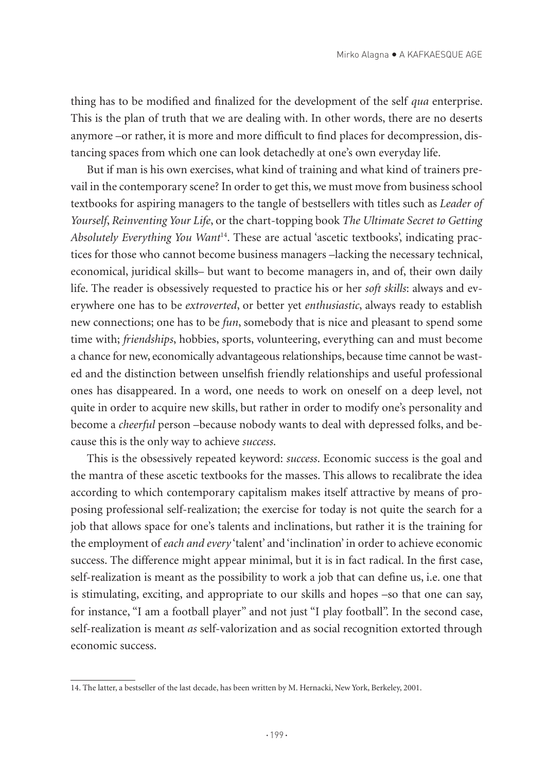thing has to be modified and finalized for the development of the self *qua* enterprise. This is the plan of truth that we are dealing with. In other words, there are no deserts anymore –or rather, it is more and more difficult to find places for decompression, distancing spaces from which one can look detachedly at one's own everyday life.

But if man is his own exercises, what kind of training and what kind of trainers prevail in the contemporary scene? In order to get this, we must move from business school textbooks for aspiring managers to the tangle of bestsellers with titles such as *Leader of Yourself*, *Reinventing Your Life*, or the chart-topping book *The Ultimate Secret to Getting Absolutely Everything You Want*14. These are actual 'ascetic textbooks', indicating practices for those who cannot become business managers –lacking the necessary technical, economical, juridical skills– but want to become managers in, and of, their own daily life. The reader is obsessively requested to practice his or her *soft skills*: always and everywhere one has to be *extroverted*, or better yet *enthusiastic*, always ready to establish new connections; one has to be *fun*, somebody that is nice and pleasant to spend some time with; *friendships*, hobbies, sports, volunteering, everything can and must become a chance for new, economically advantageous relationships, because time cannot be wasted and the distinction between unselfish friendly relationships and useful professional ones has disappeared. In a word, one needs to work on oneself on a deep level, not quite in order to acquire new skills, but rather in order to modify one's personality and become a *cheerful* person –because nobody wants to deal with depressed folks, and because this is the only way to achieve *success*.

This is the obsessively repeated keyword: *success*. Economic success is the goal and the mantra of these ascetic textbooks for the masses. This allows to recalibrate the idea according to which contemporary capitalism makes itself attractive by means of proposing professional self-realization; the exercise for today is not quite the search for a job that allows space for one's talents and inclinations, but rather it is the training for the employment of *each and every* 'talent' and 'inclination' in order to achieve economic success. The difference might appear minimal, but it is in fact radical. In the first case, self-realization is meant as the possibility to work a job that can define us, i.e. one that is stimulating, exciting, and appropriate to our skills and hopes –so that one can say, for instance, "I am a football player" and not just "I play football". In the second case, self-realization is meant *as* self-valorization and as social recognition extorted through economic success.

<sup>14.</sup> The latter, a bestseller of the last decade, has been written by M. Hernacki, New York, Berkeley, 2001.